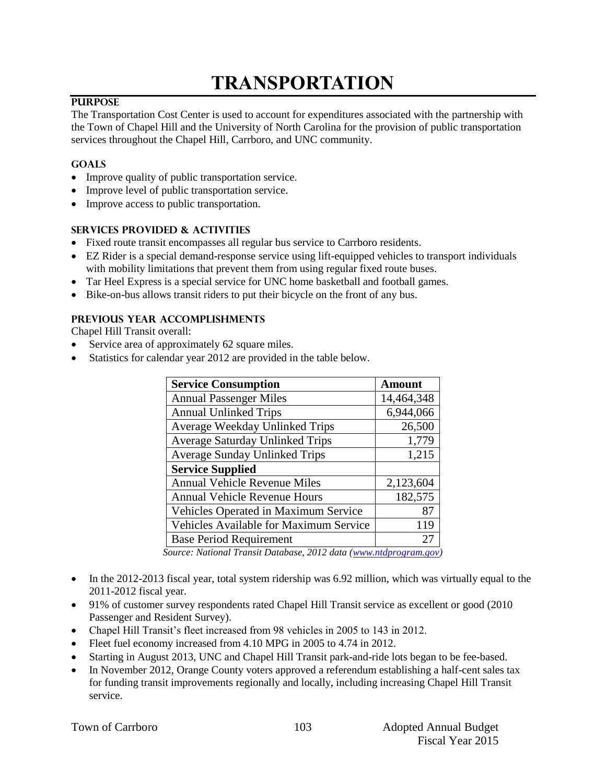# **TRANSPORTATION**

#### **PURPOSE**

The Transportation Cost Center is used to account for expenditures associated with the partnership with the Town of Chapel Hill and the University of North Carolina for the provision of public transportation services throughout the Chapel Hill, Carrboro, and UNC community.

#### **GOALS**

- Improve quality of public transportation service.
- Improve level of public transportation service.
- Improve access to public transportation.

#### **SERVICES PROVIDED & ACTIVITIES**

- Fixed route transit encompasses all regular bus service to Carrboro residents.
- EZ Rider is a special demand-response service using lift-equipped vehicles to transport individuals with mobility limitations that prevent them from using regular fixed route buses.
- Tar Heel Express is a special service for UNC home basketball and football games.
- Bike-on-bus allows transit riders to put their bicycle on the front of any bus.

#### **PREVIOUS YEAR ACCOMPLISHMENTS**

Chapel Hill Transit overall:

- Service area of approximately 62 square miles.
- Statistics for calendar year 2012 are provided in the table below.

| <b>Service Consumption</b>             | <b>Amount</b> |
|----------------------------------------|---------------|
| <b>Annual Passenger Miles</b>          | 14,464,348    |
| <b>Annual Unlinked Trips</b>           | 6,944,066     |
| Average Weekday Unlinked Trips         | 26,500        |
| <b>Average Saturday Unlinked Trips</b> | 1,779         |
| <b>Average Sunday Unlinked Trips</b>   | 1,215         |
| <b>Service Supplied</b>                |               |
| <b>Annual Vehicle Revenue Miles</b>    | 2,123,604     |
| <b>Annual Vehicle Revenue Hours</b>    | 182,575       |
| Vehicles Operated in Maximum Service   | 87            |
| Vehicles Available for Maximum Service | 119           |
| <b>Base Period Requirement</b>         | $2^{\prime}$  |

*Source: National Transit Database, 2012 data [\(www.ntdprogram.gov\)](http://www.ntdprogram.gov/)* 

- In the 2012-2013 fiscal year, total system ridership was 6.92 million, which was virtually equal to the 2011-2012 fiscal year.
- 91% of customer survey respondents rated Chapel Hill Transit service as excellent or good (2010 Passenger and Resident Survey).
- Chapel Hill Transit's fleet increased from 98 vehicles in 2005 to 143 in 2012.
- Fleet fuel economy increased from 4.10 MPG in 2005 to 4.74 in 2012.
- Starting in August 2013, UNC and Chapel Hill Transit park-and-ride lots began to be fee-based.
- In November 2012, Orange County voters approved a referendum establishing a half-cent sales tax for funding transit improvements regionally and locally, including increasing Chapel Hill Transit service.